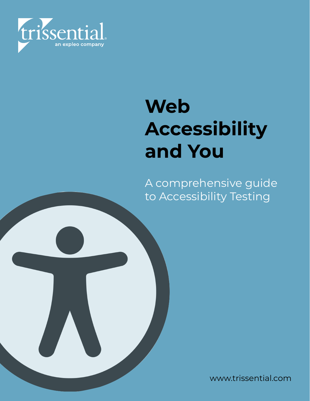

# **Web Accessibility and You**

A comprehensive guide to Accessibility Testing

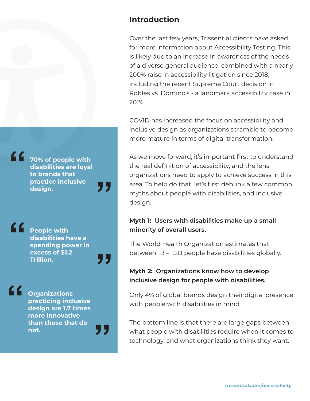### **Introduction**

Over the last few years, Trissential clients have asked for more information about Accessibility Testing. This is likely due to an increase in awareness of the needs of a diverse general audience, combined with a nearly 200% raise in accessibility litigation since 2018, including the recent Supreme Court decision in Robles vs. Domino's - a landmark accessibility case in 2019.

COVID has increased the focus on accessibility and inclusive design as organizations scramble to become more mature in terms of digital transformation.

As we move forward, it's important first to understand the real definition of accessibility, and the lens organizations need to apply to achieve success in this area. To help do that, let's first debunk a few common myths about people with disabilities, and inclusive design.

#### **Myth 1: Users with disabilities make up a small minority of overall users.**

The World Health Organization estimates that between 1B – 1.2B people have disabilities globally.

#### **Myth 2: Organizations know how to develop inclusive design for people with disabilities.**

Only 4% of global brands design their digital presence with people with disabilities in mind

The bottom line is that there are large gaps between what people with disabilities require when it comes to technology, and what organizations think they want.

**70% of people with disabilities are loyal to brands that practice inclusive design. "**

> **People with disabilities have a spending power in excess of \$1.2 Trillion.**

**"**

**"**

**"**

**"**

**"**

**Organizations practicing inclusive design are 1.7 times more innovative than those that do not.**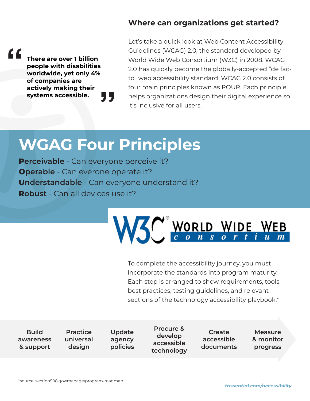#### **Where can organizations get started?**

**There are over 1 billion people with disabilities worldwide, yet only 4% of companies are actively making their systems accessible. " "** Let's take a quick look at Web Content Accessibility Guidelines (WCAG) 2.0, the standard developed by World Wide Web Consortium (W3C) in 2008. WCAG 2.0 has quickly become the globally-accepted "de facto" web accessibility standard. WCAG 2.0 consists of four main principles known as POUR. Each principle helps organizations design their digital experience so it's inclusive for all users.

# **WGAG Four Principles**

**Perceivable** - Can everyone perceive it? **Operable** - Can everone operate it? **Understandable** - Can everyone understand it? **Robust** - Can all devices use it?



To complete the accessibility journey, you must incorporate the standards into program maturity. Each step is arranged to show requirements, tools, best practices, testing guidelines, and relevant sections of the technology accessibility playbook.\*

**Build awareness & support**

**Practice universal design**

**Update agency policies**

**Procure & develop accessible technology**

**Create accessible documents**

**Measure & monitor progress**